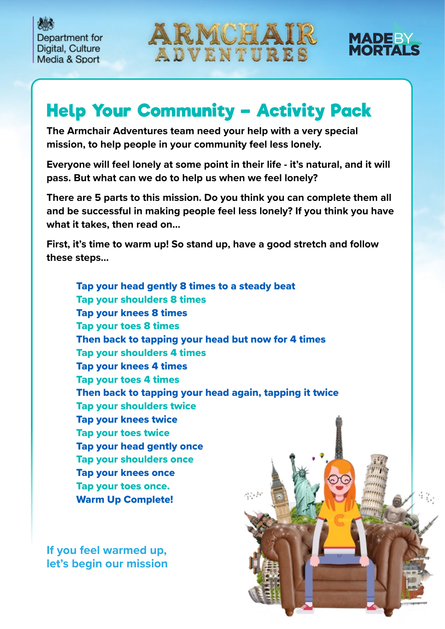Department for Digital, Culture Media & Sport





## **Help Your Community – Activity Pack**

**The Armchair Adventures team need your help with a very special mission, to help people in your community feel less lonely.** 

**Everyone will feel lonely at some point in their life - it's natural, and it will pass. But what can we do to help us when we feel lonely?** 

**There are 5 parts to this mission. Do you think you can complete them all and be successful in making people feel less lonely? If you think you have what it takes, then read on…**

**First, it's time to warm up! So stand up, have a good stretch and follow these steps…**

Tap your head gently 8 times to a steady beat Tap your shoulders 8 times Tap your knees 8 times Tap your toes 8 times Then back to tapping your head but now for 4 times Tap your shoulders 4 times Tap your knees 4 times Tap your toes 4 times Then back to tapping your head again, tapping it twice Tap your shoulders twice Tap your knees twice Tap your toes twice Tap your head gently once Tap your shoulders once Tap your knees once Tap your toes once. Warm Up Complete!

**If you feel warmed up, let's begin our mission**

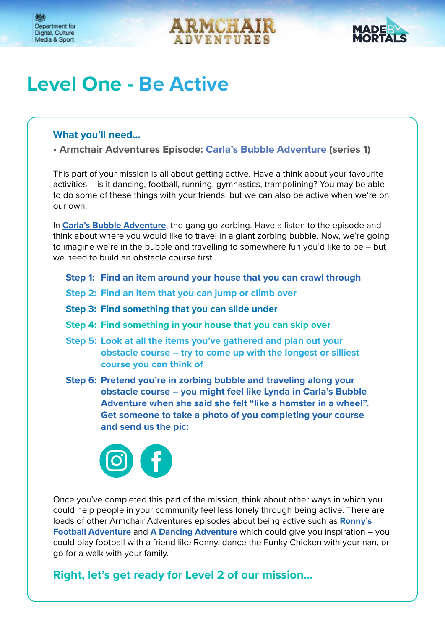



### **Level One - Be Active**

### **What you'll need…**

**• Armchair Adventures Episode: Carla's Bubble Adventure (series 1)**

This part of your mission is all about getting active. Have a think about your favourite activities – is it dancing, football, running, gymnastics, trampolining? You may be able to do some of these things with your friends, but we can also be active when we're on our own.

In **[Carla's Bubble Adventure](https://audioboom.com/posts/7770095-carla-s-bubble-adventure)**, the gang go zorbing. Have a listen to the episode and think about where you would like to travel in a giant zorbing bubble. Now, we're going to imagine we're in the bubble and travelling to somewhere fun you'd like to be – but we need to build an obstacle course first…

- **Step 1: Find an item around your house that you can crawl through**
- **Step 2: Find an item that you can jump or climb over**
- **Step 3: Find something that you can slide under**
- **Step 4: Find something in your house that you can skip over**
- **Step 5: Look at all the items you've gathered and plan out your obstacle course – try to come up with the longest or silliest course you can think of**
- **Step 6: Pretend you're in zorbing bubble and traveling along your obstacle course – you might feel like Lynda in Carla's Bubble Adventure when she said she felt "like a hamster in a wheel". Get someone to take a photo of you completing your course and send us the pic:**



Once you've completed this part of the mission, think about other ways in which you could help people in your community feel less lonely through being active. There are loads of other Armchair Adventures episodes about being active such as **[Ronny's](https://audioboom.com/posts/7862978-ronny-s-football-adventure)  [Football Adventure](https://audioboom.com/posts/7862978-ronny-s-football-adventure)** and **[A Dancing Adventure](https://audioboom.com/posts/8027734-a-dancing-adventure)** which could give you inspiration – you could play football with a friend like Ronny, dance the Funky Chicken with your nan, or go for a walk with your family.

**Right, let's get ready for Level 2 of our mission…**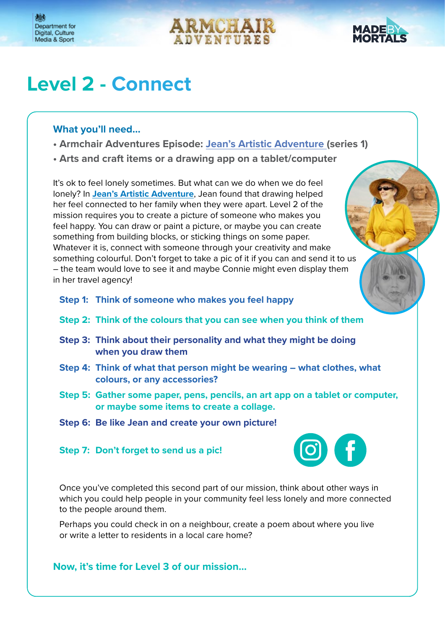





## **Level 2 - Connect**

#### **What you'll need…**

- **Armchair Adventures Episode: [Jean's Artistic Adventure](https://audioboom.com/posts/7795509-jean-s-artistic-adventure) (series 1)**
- **Arts and craft items or a drawing app on a tablet/computer**

It's ok to feel lonely sometimes. But what can we do when we do feel lonely? In **[Jean's Artistic Adventure](https://audioboom.com/posts/7795509-jean-s-artistic-adventure)**, Jean found that drawing helped her feel connected to her family when they were apart. Level 2 of the mission requires you to create a picture of someone who makes you feel happy. You can draw or paint a picture, or maybe you can create something from building blocks, or sticking things on some paper. Whatever it is, connect with someone through your creativity and make something colourful. Don't forget to take a pic of it if you can and send it to us – the team would love to see it and maybe Connie might even display them in her travel agency!

**Step 1: Think of someone who makes you feel happy**

- **Step 2: Think of the colours that you can see when you think of them**
- **Step 3: Think about their personality and what they might be doing when you draw them**
- **Step 4: Think of what that person might be wearing what clothes, what colours, or any accessories?**
- **Step 5: Gather some paper, pens, pencils, an art app on a tablet or computer, or maybe some items to create a collage.**
- **Step 6: Be like Jean and create your own picture!**

#### **Step 7: Don't forget to send us a pic!**



Once you've completed this second part of our mission, think about other ways in which you could help people in your community feel less lonely and more connected to the people around them.

Perhaps you could check in on a neighbour, create a poem about where you live or write a letter to residents in a local care home?

**Now, it's time for Level 3 of our mission…**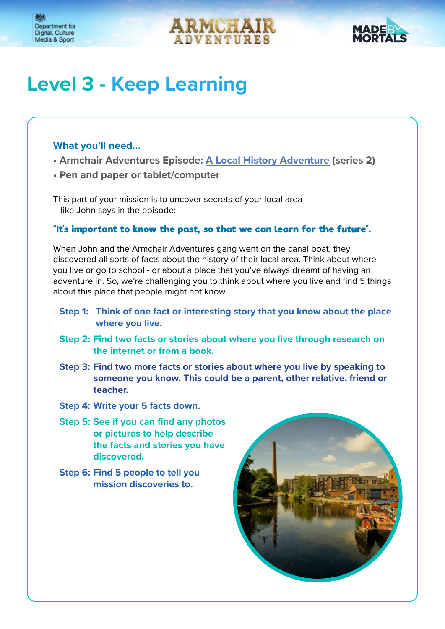



# **Level 3 - Keep Learning**

#### **What you'll need…**

- **Armchair Adventures Episode: [A Local History Adventure](https://audioboom.com/posts/8044545-a-local-history-adventure) (series 2)**
- **Pen and paper or tablet/computer**

This part of your mission is to uncover secrets of your local area – like John says in the episode:

#### **"It's important to know the past, so that we can learn for the future".**

When John and the Armchair Adventures gang went on the canal boat, they discovered all sorts of facts about the history of their local area. Think about where you live or go to school - or about a place that you've always dreamt of having an adventure in. So, we're challenging you to think about where you live and find 5 things about this place that people might not know.

- **Step 1: Think of one fact or interesting story that you know about the place where you live.**
- **Step 2: Find two facts or stories about where you live through research on the internet or from a book.**
- **Step 3: Find two more facts or stories about where you live by speaking to someone you know. This could be a parent, other relative, friend or teacher.**
- **Step 4: Write your 5 facts down.**
- **Step 5: See if you can find any photos or pictures to help describe the facts and stories you have discovered.**
- **Step 6: Find 5 people to tell you mission discoveries to.**

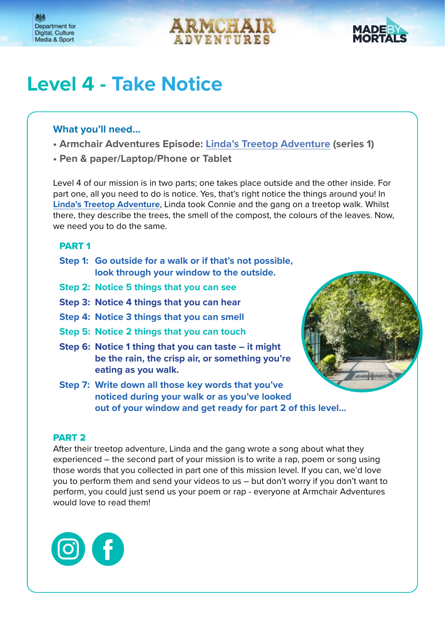



## **Level 4 - Take Notice**

#### **What you'll need…**

- **Armchair Adventures Episode: [Linda's Treetop Adventure](https://audioboom.com/posts/7683209-linda-s-treetop-adventure) (series 1)**
- **Pen & paper/Laptop/Phone or Tablet**

Level 4 of our mission is in two parts; one takes place outside and the other inside. For part one, all you need to do is notice. Yes, that's right notice the things around you! In **[Linda's Treetop Adventure](https://audioboom.com/posts/7683209-linda-s-treetop-adventure)**, Linda took Connie and the gang on a treetop walk. Whilst there, they describe the trees, the smell of the compost, the colours of the leaves. Now, we need you to do the same.

#### PART 1

- **Step 1: Go outside for a walk or if that's not possible, look through your window to the outside.**
- **Step 2: Notice 5 things that you can see**
- **Step 3: Notice 4 things that you can hear**
- **Step 4: Notice 3 things that you can smell**
- **Step 5: Notice 2 things that you can touch**
- **Step 6: Notice 1 thing that you can taste it might be the rain, the crisp air, or something you're eating as you walk.**
- **Step 7: Write down all those key words that you've noticed during your walk or as you've looked out of your window and get ready for part 2 of this level…**



After their treetop adventure, Linda and the gang wrote a song about what they experienced – the second part of your mission is to write a rap, poem or song using those words that you collected in part one of this mission level. If you can, we'd love you to perform them and send your videos to us – but don't worry if you don't want to perform, you could just send us your poem or rap - everyone at Armchair Adventures would love to read them!